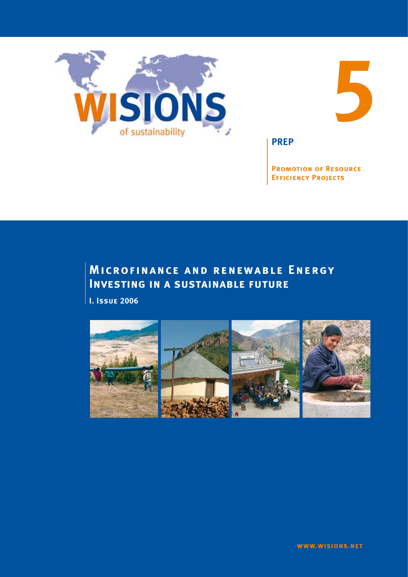



**PREP**

**Promotion of Resource Efficiency Projects**

# **Microfinance and renewable Energy Investing in a sustainable future**

**I. Issue 2006**

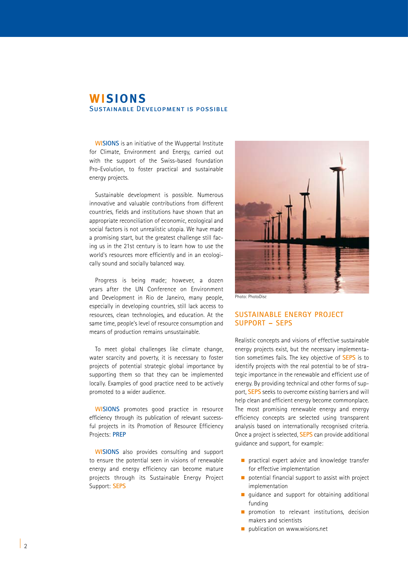### **WISIONS** Sustainable Development is possible

**WISIONS** is an initiative of the Wuppertal Institute for Climate, Environment and Energy, carried out with the support of the Swiss-based foundation Pro-Evolution, to foster practical and sustainable energy projects.

Sustainable development is possible. Numerous innovative and valuable contributions from different countries, fields and institutions have shown that an appropriate reconciliation of economic, ecological and social factors is not unrealistic utopia. We have made a promising start, but the greatest challenge still facing us in the 21st century is to learn how to use the world's resources more efficiently and in an ecologically sound and socially balanced way.

Progress is being made; however, a dozen years after the UN Conference on Environment and Development in Rio de Janeiro, many people, especially in developing countries, still lack access to resources, clean technologies, and education. At the same time, people's level of resource consumption and means of production remains unsustainable.

To meet global challenges like climate change, water scarcity and poverty, it is necessary to foster projects of potential strategic global importance by supporting them so that they can be implemented locally. Examples of good practice need to be actively promoted to a wider audience.

**WISIONS** promotes good practice in resource efficiency through its publication of relevant successful projects in its Promotion of Resource Efficiency Projects: **PREP**

**WISIONS** also provides consulting and support to ensure the potential seen in visions of renewable energy and energy efficiency can become mature projects through its Sustainable Energy Project Support: **SEPS**



Photo: PhotoDisc

### **SUSTAINABLE ENERGY PROJECT SUPPORT – SEPS**

Realistic concepts and visions of effective sustainable energy projects exist, but the necessary implementation sometimes fails. The key objective of **SEPS** is to identify projects with the real potential to be of strategic importance in the renewable and efficient use of energy. By providing technical and other forms of support, **SEPS** seeks to overcome existing barriers and will help clean and efficient energy become commonplace. The most promising renewable energy and energy efficiency concepts are selected using transparent analysis based on internationally recognised criteria. Once a project is selected, **SEPS** can provide additional guidance and support, for example:

- $\blacksquare$  practical expert advice and knowledge transfer for effective implementation
- $\Box$  potential financial support to assist with project implementation
- quidance and support for obtaining additional funding
- $\blacksquare$  promotion to relevant institutions, decision makers and scientists
- $\blacksquare$  publication on www.wisions.net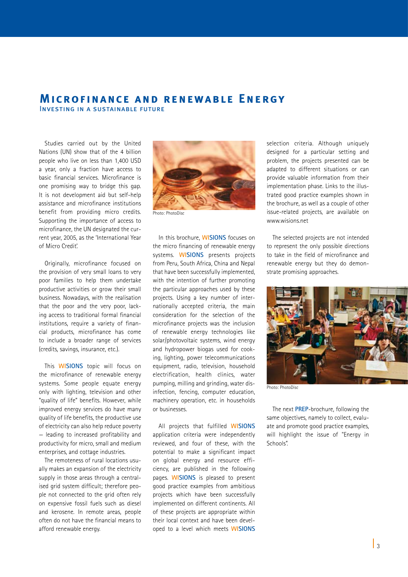### **Microfinance and renewable Energy** Investing in a sustainable future

Studies carried out by the United Nations (UN) show that of the 4 billion people who live on less than 1,400 USD a year, only a fraction have access to basic financial services. Microfinance is one promising way to bridge this gap. It is not development aid but self-help assistance and microfinance institutions benefit from providing micro credits. Supporting the importance of access to microfinance, the UN designated the current year, 2005, as the 'International Year of Micro Credit'.

Originally, microfinance focused on the provision of very small loans to very poor families to help them undertake productive activities or grow their small business. Nowadays, with the realisation that the poor and the very poor, lacking access to traditional formal financial institutions, require a variety of financial products, microfinance has come to include a broader range of services (credits, savings, insurance, etc.).

This **WISIONS** topic will focus on the microfinance of renewable energy systems. Some people equate energy only with lighting, television and other "quality of life" benefits. However, while improved energy services do have many quality of life benefits, the productive use of electricity can also help reduce poverty — leading to increased profitability and productivity for micro, small and medium enterprises, and cottage industries.

The remoteness of rural locations usually makes an expansion of the electricity supply in those areas through a centralised grid system difficult; therefore people not connected to the grid often rely on expensive fossil fuels such as diesel and kerosene. In remote areas, people often do not have the financial means to afford renewable energy.



Photo: PhotoDisc

In this brochure, **WISIONS** focuses on the micro financing of renewable energy systems. **WISIONS** presents projects from Peru, South Africa, China and Nepal that have been successfully implemented, with the intention of further promoting the particular approaches used by these projects. Using a key number of internationally accepted criteria, the main consideration for the selection of the microfinance projects was the inclusion of renewable energy technologies like solar/photovoltaic systems, wind energy and hydropower biogas used for cooking, lighting, power telecommunications equipment, radio, television, household electrification, health clinics, water pumping, milling and grinding, water disinfection, fencing, computer education, machinery operation, etc. in households or businesses.

All projects that fulfilled **WISIONS** application criteria were independently reviewed, and four of these, with the potential to make a significant impact on global energy and resource efficiency, are published in the following pages. **WISIONS** is pleased to present good practice examples from ambitious projects which have been successfully implemented on different continents. All of these projects are appropriate within their local context and have been developed to a level which meets **WISIONS**

selection criteria. Although uniquely designed for a particular setting and problem, the projects presented can be adapted to different situations or can provide valuable information from their implementation phase. Links to the illustrated good practice examples shown in the brochure, as well as a couple of other issue-related projects, are available on www.wisions.net

The selected projects are not intended to represent the only possible directions to take in the field of microfinance and renewable energy but they do demonstrate promising approaches.



Photo: PhotoDisc

The next **PREP**-brochure, following the same objectives, namely to collect, evaluate and promote good practice examples, will highlight the issue of "Energy in Schools".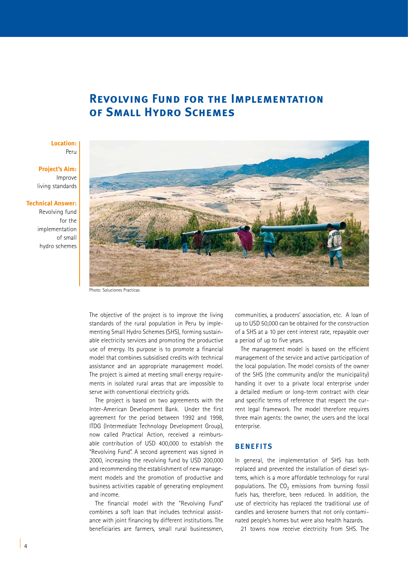## **Revolving Fund for the Implementation of Small Hydro Schemes**

### **Location:**  Peru

**Project's Aim:**  Improve living standards

### **Technical Answer:**

Revolving fund for the implementation of small hydro schemes



Photo: Soluciones Practicas

The objective of the project is to improve the living standards of the rural population in Peru by implementing Small Hydro Schemes (SHS), forming sustainable electricity services and promoting the productive use of energy. Its purpose is to promote a financial model that combines subsidised credits with technical assistance and an appropriate management model. The project is aimed at meeting small energy requirements in isolated rural areas that are impossible to serve with conventional electricity grids.

The project is based on two agreements with the Inter-American Development Bank. Under the first agreement for the period between 1992 and 1998, ITDG (Intermediate Technology Development Group), now called Practical Action, received a reimbursable contribution of USD 400,000 to establish the "Revolving Fund". A second agreement was signed in 2000, increasing the revolving fund by USD 200,000 and recommending the establishment of new management models and the promotion of productive and business activities capable of generating employment and income.

The financial model with the "Revolving Fund" combines a soft loan that includes technical assistance with joint financing by different institutions. The beneficiaries are farmers, small rural businessmen,

communities, a producers' association, etc. A loan of up to USD 50,000 can be obtained for the construction of a SHS at a 10 per cent interest rate, repayable over a period of up to five years.

The management model is based on the efficient management of the service and active participation of the local population. The model consists of the owner of the SHS (the community and/or the municipality) handing it over to a private local enterprise under a detailed medium or long-term contract with clear and specific terms of reference that respect the current legal framework. The model therefore requires three main agents: the owner, the users and the local enterprise.

### **BENEFITS**

In general, the implementation of SHS has both replaced and prevented the installation of diesel systems, which is a more affordable technology for rural populations. The  $CO<sub>2</sub>$  emissions from burning fossil fuels has, therefore, been reduced. In addition, the use of electricity has replaced the traditional use of candles and kerosene burners that not only contaminated people's homes but were also health hazards.

21 towns now receive electricity from SHS. The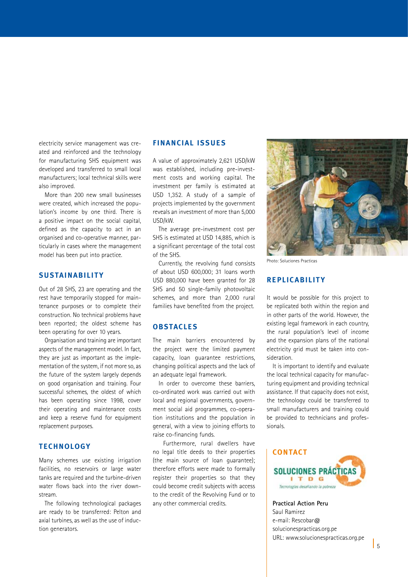electricity service management was created and reinforced and the technology for manufacturing SHS equipment was developed and transferred to small local manufacturers; local technical skills were also improved.

More than 200 new small businesses were created, which increased the population's income by one third. There is a positive impact on the social capital, defined as the capacity to act in an organised and co-operative manner, particularly in cases where the management model has been put into practice.

### **SUSTAINABILITY**

Out of 28 SHS, 23 are operating and the rest have temporarily stopped for maintenance purposes or to complete their construction. No technical problems have been reported; the oldest scheme has been operating for over 10 years.

Organisation and training are important aspects of the management model. In fact, they are just as important as the implementation of the system, if not more so, as the future of the system largely depends on good organisation and training. Four successful schemes, the oldest of which has been operating since 1998, cover their operating and maintenance costs and keep a reserve fund for equipment replacement purposes.

### **TECHNOLOGY**

Many schemes use existing irrigation facilities, no reservoirs or large water tanks are required and the turbine-driven water flows back into the river downstream.

The following technological packages are ready to be transferred: Pelton and axial turbines, as well as the use of induction generators.

### **FINANCIAL ISSUE S**

A value of approximately 2,621 USD/kW was established, including pre-investment costs and working capital. The investment per family is estimated at USD 1,352. A study of a sample of projects implemented by the government reveals an investment of more than 5,000 USD/kW.

The average pre-investment cost per SHS is estimated at USD 14,885, which is a significant percentage of the total cost of the SHS.

Currently, the revolving fund consists of about USD 600,000; 31 loans worth USD 880,000 have been granted for 28 SHS and 50 single-family photovoltaic schemes, and more than 2,000 rural families have benefited from the project.

### **OBSTACLE S**

The main barriers encountered by the project were the limited payment capacity, loan guarantee restrictions, changing political aspects and the lack of an adequate legal framework.

In order to overcome these barriers. co-ordinated work was carried out with local and regional governments, government social aid programmes, co-operation institutions and the population in general, with a view to joining efforts to raise co-financing funds.

 Furthermore, rural dwellers have no legal title deeds to their properties (the main source of loan guarantee); therefore efforts were made to formally register their properties so that they could become credit subjects with access to the credit of the Revolving Fund or to any other commercial credits.



Photo: Soluciones Practicas

### **RE PLIC ABILIT Y**

It would be possible for this project to be replicated both within the region and in other parts of the world. However, the existing legal framework in each country, the rural population's level of income and the expansion plans of the national electricity grid must be taken into consideration.

It is important to identify and evaluate the local technical capacity for manufacturing equipment and providing technical assistance. If that capacity does not exist, the technology could be transferred to small manufacturers and training could be provided to technicians and professionals.

### **CONTACT SOLUCIONES PRÁCTICA** ITDG Tecnologías desafiando la pobreza

**Practical Action Peru** Saul Ramirez e-mail: Rescobar@ solucionespracticas.org.pe URL: www.solucionespracticas.org.pe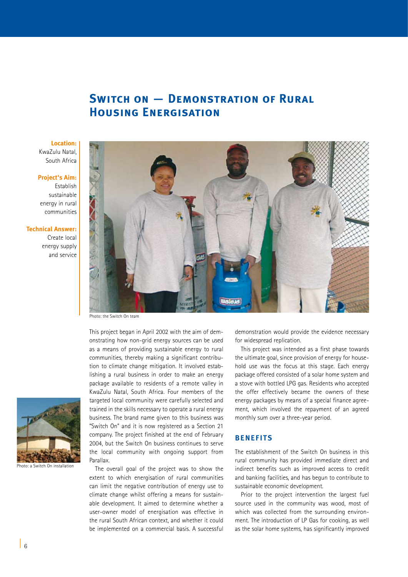# **SWITCH ON - DEMONSTRATION OF RURAL Housing Energisation**

#### **Location:**

KwaZulu Natal, South Africa

#### **Project's Aim:**

Establish sustainable energy in rural communities

### **Technical Answer:**

Create local energy supply and service



This project began in April 2002 with the aim of demonstrating how non-grid energy sources can be used as a means of providing sustainable energy to rural communities, thereby making a significant contribution to climate change mitigation. It involved establishing a rural business in order to make an energy package available to residents of a remote valley in KwaZulu Natal, South Africa. Four members of the targeted local community were carefully selected and trained in the skills necessary to operate a rural energy business. The brand name given to this business was "Switch On" and it is now registered as a Section 21 company. The project finished at the end of February 2004, but the Switch On business continues to serve the local community with ongoing support from Parallax.

The overall goal of the project was to show the extent to which energisation of rural communities can limit the negative contribution of energy use to climate change whilst offering a means for sustainable development. It aimed to determine whether a user-owner model of energisation was effective in the rural South African context, and whether it could be implemented on a commercial basis. A successful demonstration would provide the evidence necessary for widespread replication.

This project was intended as a first phase towards the ultimate goal, since provision of energy for household use was the focus at this stage. Each energy package offered consisted of a solar home system and a stove with bottled LPG gas. Residents who accepted the offer effectively became the owners of these energy packages by means of a special finance agreement, which involved the repayment of an agreed monthly sum over a three-year period.

### **BENEFITS**

The establishment of the Switch On business in this rural community has provided immediate direct and indirect benefits such as improved access to credit and banking facilities, and has begun to contribute to sustainable economic development.

Prior to the project intervention the largest fuel source used in the community was wood, most of which was collected from the surrounding environment. The introduction of LP Gas for cooking, as well as the solar home systems, has significantly improved



Photo: a Switch On installation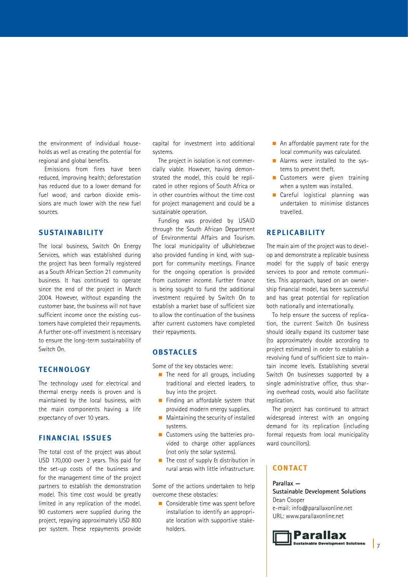the environment of individual households as well as creating the potential for regional and global benefits.

Emissions from fires have been reduced, improving health; deforestation has reduced due to a lower demand for fuel wood; and carbon dioxide emissions are much lower with the new fuel sources.

### **SUSTAINABILITY**

The local business, Switch On Energy Services, which was established during the project has been formally registered as a South African Section 21 community business. It has continued to operate since the end of the project in March 2004. However, without expanding the customer base, the business will not have sufficient income once the existing customers have completed their repayments. A further one-off investment is necessary to ensure the long-term sustainability of Switch On.

### **TECHNOLOGY**

The technology used for electrical and thermal energy needs is proven and is maintained by the local business, with the main components having a life expectancy of over 10 years.

### **FINANCIAL ISSUE S**

The total cost of the project was about USD 170,000 over 2 years. This paid for the set-up costs of the business and for the management time of the project partners to establish the demonstration model. This time cost would be greatly limited in any replication of the model. 90 customers were supplied during the project, repaying approximately USD 800 per system. These repayments provide

capital for investment into additional systems.

The project in isolation is not commercially viable. However, having demonstrated the model, this could be replicated in other regions of South Africa or in other countries without the time cost for project management and could be a sustainable operation.

Funding was provided by USAID through the South African Department of Environmental Affairs and Tourism. The local municipality of uBuhlebezwe also provided funding in kind, with support for community meetings. Finance for the ongoing operation is provided from customer income. Further finance is being sought to fund the additional investment required by Switch On to establish a market base of sufficient size to allow the continuation of the business after current customers have completed their repayments.

### **OBSTACLE S**

Some of the key obstacles were:

- $\blacksquare$  The need for all groups, including traditional and elected leaders, to buy into the project.
- **n** Finding an affordable system that provided modern energy supplies.
- $\blacksquare$  Maintaining the security of installed systems.
- Customers using the batteries provided to charge other appliances (not only the solar systems).
- $\blacksquare$  The cost of supply & distribution in rural areas with little infrastructure.

Some of the actions undertaken to help overcome these obstacles:

 $\blacksquare$  Considerable time was spent before installation to identify an appropriate location with supportive stakeholders.

- $\blacksquare$  An affordable payment rate for the local community was calculated.
- **n** Alarms were installed to the systems to prevent theft.
- **n** Customers were given training when a system was installed.
- **n** Careful logistical planning was undertaken to minimise distances travelled.

### **RE PLIC ABILIT Y**

The main aim of the project was to develop and demonstrate a replicable business model for the supply of basic energy services to poor and remote communities. This approach, based on an ownership financial model, has been successful and has great potential for replication both nationally and internationally.

To help ensure the success of replication, the current Switch On business should ideally expand its customer base (to approximately double according to project estimates) in order to establish a revolving fund of sufficient size to maintain income levels. Establishing several Switch On businesses supported by a single administrative office, thus sharing overhead costs, would also facilitate replication.

The project has continued to attract widespread interest with an ongoing demand for its replication (including formal requests from local municipality ward councillors).

### **CONTACT**

**Parallax — Sustainable Development Solutions** Dean Cooper e-mail: info@parallaxonline.net URL: www.parallaxonline.net

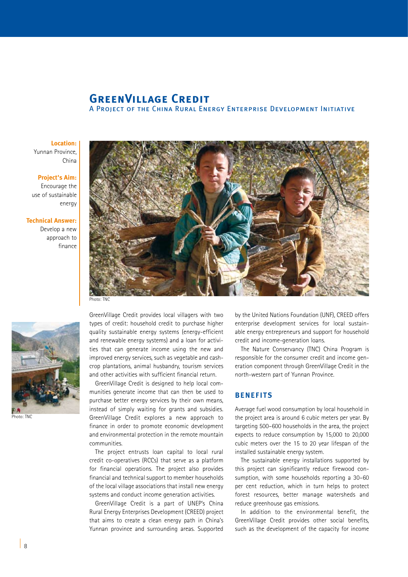# **GREENVILLAGE CREDIT**

A Project of the China Rural Energy Enterprise Development Initiative

**Location:** Yunnan Province,

China

#### **Project's Aim:**

Encourage the use of sustainable energy

**Technical Answer:** 

Develop a new approach to finance





Photo: TNC

GreenVillage Credit provides local villagers with two types of credit: household credit to purchase higher quality sustainable energy systems (energy-efficient and renewable energy systems) and a loan for activities that can generate income using the new and improved energy services, such as vegetable and cashcrop plantations, animal husbandry, tourism services and other activities with sufficient financial return.

GreenVillage Credit is designed to help local communities generate income that can then be used to purchase better energy services by their own means, instead of simply waiting for grants and subsidies. GreenVillage Credit explores a new approach to finance in order to promote economic development and environmental protection in the remote mountain communities.

The project entrusts loan capital to local rural credit co-operatives (RCCs) that serve as a platform for financial operations. The project also provides financial and technical support to member households of the local village associations that install new energy systems and conduct income generation activities.

GreenVillage Credit is a part of UNEP's China Rural Energy Enterprises Development (CREED) project that aims to create a clean energy path in China's Yunnan province and surrounding areas. Supported

by the United Nations Foundation (UNF), CREED offers enterprise development services for local sustainable energy entrepreneurs and support for household credit and income-generation loans.

The Nature Conservancy (TNC) China Program is responsible for the consumer credit and income generation component through GreenVillage Credit in the north-western part of Yunnan Province.

### **BENEFITS**

Average fuel wood consumption by local household in the project area is around 6 cubic meters per year. By targeting 500–600 households in the area, the project expects to reduce consumption by 15,000 to 20,000 cubic meters over the 15 to 20 year lifespan of the installed sustainable energy system.

The sustainable energy installations supported by this project can significantly reduce firewood consumption, with some households reporting a 30–60 per cent reduction, which in turn helps to protect forest resources, better manage watersheds and reduce greenhouse gas emissions.

In addition to the environmental benefit, the GreenVillage Credit provides other social benefits, such as the development of the capacity for income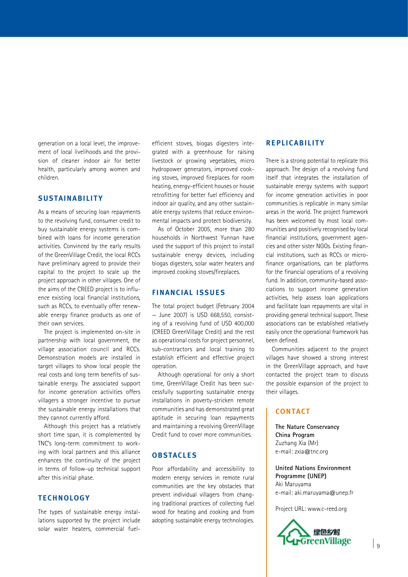generation on a local level, the improvement of local livelihoods and the provision of cleaner indoor air for better health, particularly among women and children.

### **SUSTAINABILITY**

As a means of securing loan repayments to the revolving fund, consumer credit to buy sustainable energy systems is combined with loans for income generation activities. Convinced by the early results of the GreenVillage Credit, the local RCCs have preliminary agreed to provide their capital to the project to scale up the project approach in other villages. One of the aims of the CREED project is to influence existing local financial institutions, such as RCCs, to eventually offer renewable energy finance products as one of their own services.

The project is implemented on-site in partnership with local government, the village association council and RCCs. Demonstration models are installed in target villages to show local people the real costs and long term benefits of sustainable energy. The associated support for income generation activities offers villagers a stronger incentive to pursue the sustainable energy installations that they cannot currently afford.

Although this project has a relatively short time span, it is complemented by TNC's long-term commitment to working with local partners and this alliance enhances the continuity of the project in terms of follow-up technical support after this initial phase.

### **TECHNOLOGY**

The types of sustainable energy installations supported by the project include solar water heaters, commercial fuelefficient stoves, biogas digesters integrated with a greenhouse for raising livestock or growing vegetables, micro hydropower generators, improved cooking stoves, improved fireplaces for room heating, energy-efficient houses or house retrofitting for better fuel efficiency and indoor air quality, and any other sustainable energy systems that reduce environmental impacts and protect biodiversity.

As of October 2005, more than 280 households in Northwest Yunnan have used the support of this project to install sustainable energy devices, including biogas digesters, solar water heaters and improved cooking stoves/fireplaces.

### **FINANCIAL ISSUE S**

The total project budget (February 2004 — June 2007) is USD 668,550, consisting of a revolving fund of USD 400,000 (CREED GreenVillage Credit) and the rest as operational costs for project personnel, sub-contractors and local training to establish efficient and effective project operation.

Although operational for only a short time, GreenVillage Credit has been successfully supporting sustainable energy installations in poverty-stricken remote communities and has demonstrated great aptitude in securing loan repayments and maintaining a revolving GreenVillage Credit fund to cover more communities.

### **OBSTACLE S**

Poor affordability and accessibility to modern energy services in remote rural communities are the key obstacles that prevent individual villagers from changing traditional practices of collecting fuel wood for heating and cooking and from adopting sustainable energy technologies.

### **RE PLIC ABILIT Y**

There is a strong potential to replicate this approach. The design of a revolving fund itself that integrates the installation of sustainable energy systems with support for income generation activities in poor communities is replicable in many similar areas in the world. The project framework has been welcomed by most local communities and positively recognised by local financial institutions, government agencies and other sister NGOs. Existing financial institutions, such as RCCs or microfinance organisations, can be platforms for the financial operations of a revolving fund. In addition, community-based associations to support income generation activities, help assess loan applications and facilitate loan repayments are vital in providing general technical support. These associations can be established relatively easily once the operational framework has been defined.

Communities adjacent to the project villages have showed a strong interest in the GreenVillage approach, and have contacted the project team to discuss the possible expansion of the project to their villages.

### **CONTACT**

**The Nature Conservancy China Program** Zuzhang Xia (Mr) e-mail: zxia@tnc.org

**United Nations Environment Programme (UNEP)** Aki Maruyama e-mail: aki.maruyama@unep.fr

Project URL: www.c-reed.org

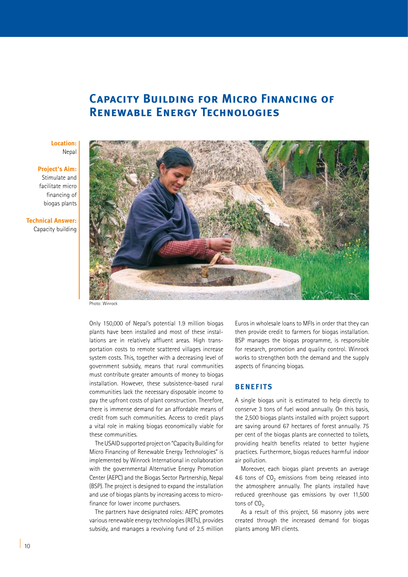# **Capacity Building for Micro Financing of Renewable Energy Technologies**

### **Location:** Nepal

**Project's Aim:**  Stimulate and facilitate micro financing of

biogas plants

**Technical Answer:**  Capacity building



Photo: Winrock

Only 150,000 of Nepal's potential 1.9 million biogas plants have been installed and most of these installations are in relatively affluent areas. High transportation costs to remote scattered villages increase system costs. This, together with a decreasing level of government subsidy, means that rural communities must contribute greater amounts of money to biogas installation. However, these subsistence-based rural communities lack the necessary disposable income to pay the upfront costs of plant construction. Therefore, there is immense demand for an affordable means of credit from such communities. Access to credit plays a vital role in making biogas economically viable for these communities.

The USAID supported project on "Capacity Building for Micro Financing of Renewable Energy Technologies" is implemented by Winrock International in collaboration with the governmental Alternative Energy Promotion Center (AEPC) and the Biogas Sector Partnership, Nepal (BSP). The project is designed to expand the installation and use of biogas plants by increasing access to microfinance for lower income purchasers.

The partners have designated roles: AEPC promotes various renewable energy technologies (RETs), provides subsidy, and manages a revolving fund of 2.5 million

Euros in wholesale loans to MFIs in order that they can then provide credit to farmers for biogas installation. BSP manages the biogas programme, is responsible for research, promotion and quality control. Winrock works to strengthen both the demand and the supply aspects of financing biogas.

### **BENEFITS**

A single biogas unit is estimated to help directly to conserve 3 tons of fuel wood annually. On this basis, the 2,500 biogas plants installed with project support are saving around 67 hectares of forest annually. 75 per cent of the biogas plants are connected to toilets, providing health benefits related to better hygiene practices. Furthermore, biogas reduces harmful indoor air pollution.

Moreover, each biogas plant prevents an average 4.6 tons of  $CO<sub>2</sub>$  emissions from being released into the atmosphere annually. The plants installed have reduced greenhouse gas emissions by over 11,500 tons of  $CO<sub>2</sub>$ .

As a result of this project, 56 masonry jobs were created through the increased demand for biogas plants among MFI clients.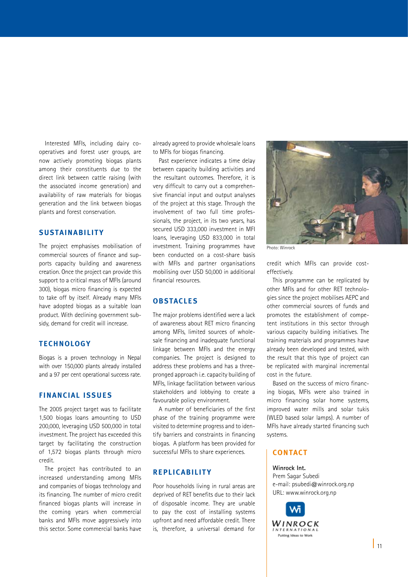Interested MFIs, including dairy cooperatives and forest user groups, are now actively promoting biogas plants among their constituents due to the direct link between cattle raising (with the associated income generation) and availability of raw materials for biogas generation and the link between biogas plants and forest conservation.

### **SUSTAINABILITY**

The project emphasises mobilisation of commercial sources of finance and supports capacity building and awareness creation. Once the project can provide this support to a critical mass of MFIs (around 300), biogas micro financing is expected to take off by itself. Already many MFIs have adopted biogas as a suitable loan product. With declining government subsidy, demand for credit will increase.

### **TECHNOLOGY**

Biogas is a proven technology in Nepal with over 150,000 plants already installed and a 97 per cent operational success rate.

### **FINANCIAL ISSUE S**

The 2005 project target was to facilitate 1,500 biogas loans amounting to USD 200,000, leveraging USD 500,000 in total investment. The project has exceeded this target by facilitating the construction of 1,572 biogas plants through micro credit.

The project has contributed to an increased understanding among MFIs and companies of biogas technology and its financing. The number of micro credit financed biogas plants will increase in the coming years when commercial banks and MFIs move aggressively into this sector. Some commercial banks have

already agreed to provide wholesale loans to MFIs for biogas financing.

Past experience indicates a time delay between capacity building activities and the resultant outcomes. Therefore, it is very difficult to carry out a comprehensive financial input and output analyses of the project at this stage. Through the involvement of two full time professionals, the project, in its two years, has secured USD 333,000 investment in MFI loans, leveraging USD 833,000 in total investment. Training programmes have been conducted on a cost-share basis with MFIs and partner organisations mobilising over USD 50,000 in additional financial resources.

### **OBSTACLE S**

The major problems identified were a lack of awareness about RET micro financing among MFIs, limited sources of wholesale financing and inadequate functional linkage between MFIs and the energy companies. The project is designed to address these problems and has a threepronged approach i.e. capacity building of MFIs, linkage facilitation between various stakeholders and lobbying to create a favourable policy environment.

A number of beneficiaries of the first phase of the training programme were visited to determine progress and to identify barriers and constraints in financing biogas. A platform has been provided for successful MFIs to share experiences.

### **RE PLIC ABILIT Y**

Poor households living in rural areas are deprived of RET benefits due to their lack of disposable income. They are unable to pay the cost of installing systems upfront and need affordable credit. There is, therefore, a universal demand for



Photo: Winrock

credit which MFIs can provide costeffectively.

This programme can be replicated by other MFIs and for other RET technologies since the project mobilises AEPC and other commercial sources of funds and promotes the establishment of competent institutions in this sector through various capacity building initiatives. The training materials and programmes have already been developed and tested, with the result that this type of project can be replicated with marginal incremental cost in the future.

Based on the success of micro financing biogas, MFIs were also trained in micro financing solar home systems, improved water mills and solar tukis (WLED based solar lamps). A number of MFIs have already started financing such systems.

### **CONTACT**

**Winrock Int.** Prem Sagar Subedi e-mail: psubedi@winrock.org.np URL: www.winrock.org.np